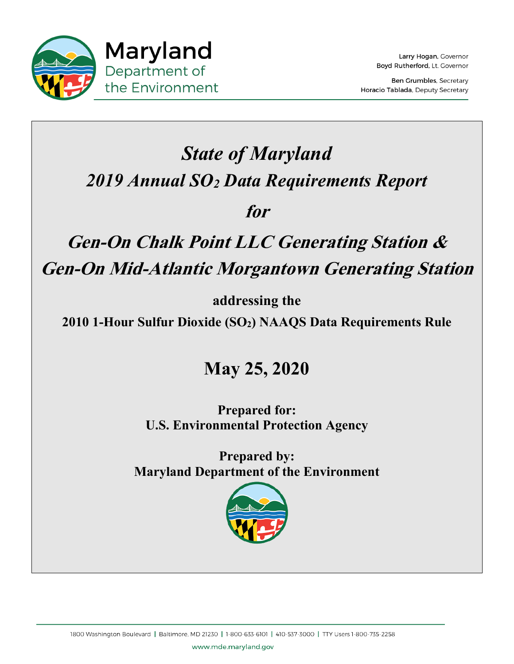

Larry Hogan, Governor Boyd Rutherford, Lt. Governor

Ben Grumbles, Secretary Horacio Tablada, Deputy Secretary

# *State of Maryland 2019 Annual SO2 Data Requirements Report*

## **for**

# **Gen-On Chalk Point LLC Generating Station & Gen-On Mid-Atlantic Morgantown Generating Station**

**addressing the**

**2010 1-Hour Sulfur Dioxide (SO2) NAAQS Data Requirements Rule**

## **May 25, 2020**

**Prepared for: U.S. Environmental Protection Agency**

**Prepared by: Maryland Department of the Environment**

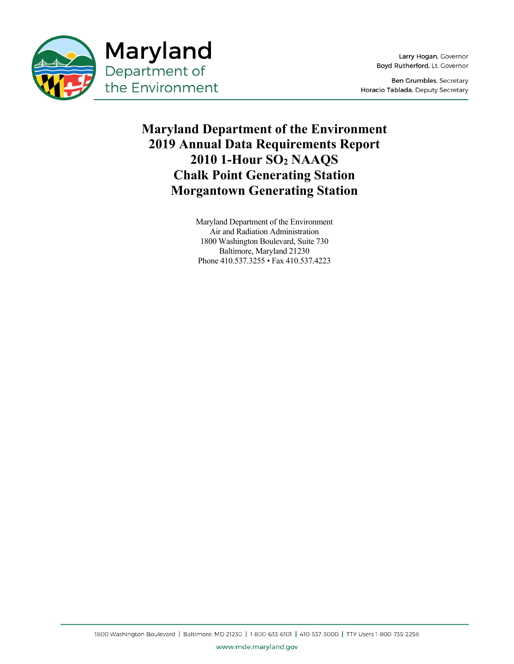

Larry Hogan, Governor Boyd Rutherford, Lt. Governor

Ben Grumbles, Secretary Horacio Tablada, Deputy Secretary

## **Maryland Department of the Environment 2019 Annual Data Requirements Report 2010 1-Hour SO2 NAAQS Chalk Point Generating Station Morgantown Generating Station**

Maryland Department of the Environment Air and Radiation Administration 1800 Washington Boulevard, Suite 730 Baltimore, Maryland 21230 Phone 410.537.3255 • Fax 410.537.4223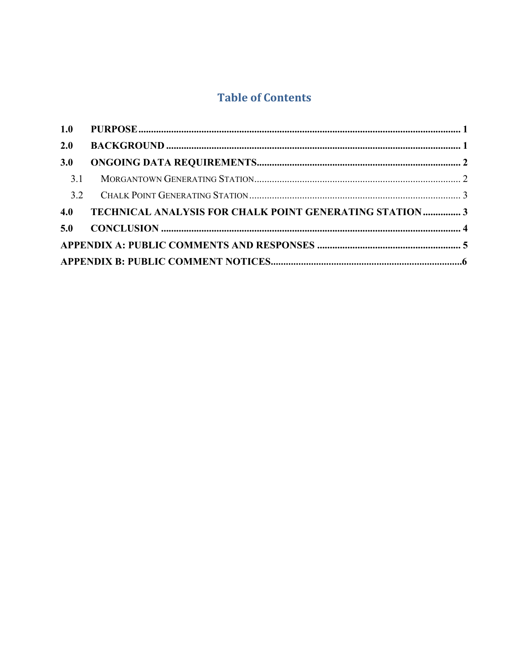## **Table of Contents**

| 2.0 |                                                         |  |
|-----|---------------------------------------------------------|--|
| 3.0 |                                                         |  |
|     |                                                         |  |
|     |                                                         |  |
| 4.0 | TECHNICAL ANALYSIS FOR CHALK POINT GENERATING STATION 3 |  |
|     |                                                         |  |
|     |                                                         |  |
|     |                                                         |  |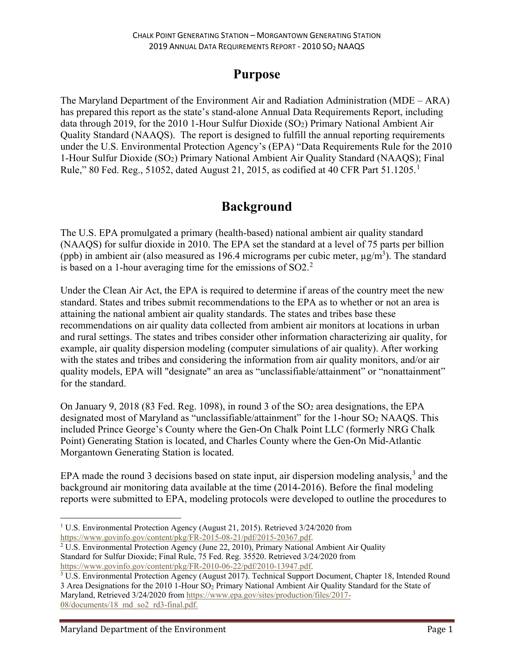## **Purpose**

<span id="page-3-0"></span>The Maryland Department of the Environment Air and Radiation Administration (MDE – ARA) has prepared this report as the state's stand-alone Annual Data Requirements Report, including data through 2019, for the 2010 1-Hour Sulfur Dioxide (SO2) Primary National Ambient Air Quality Standard (NAAQS). The report is designed to fulfill the annual reporting requirements under the U.S. Environmental Protection Agency's (EPA) "Data Requirements Rule for the 2010 1-Hour Sulfur Dioxide (SO2) Primary National Ambient Air Quality Standard (NAAQS); Final Rule," 80 Fed. Reg., 51052, dated August 21, 2015, as codified at 40 CFR Part 51.1205.[1](#page-3-2)

## **Background**

<span id="page-3-1"></span>The U.S. EPA promulgated a primary (health-based) national ambient air quality standard (NAAQS) for sulfur dioxide in 2010. The EPA set the standard at a level of 75 parts per billion (ppb) in ambient air (also measured as 196.4 micrograms per cubic meter,  $\mu$ g/m<sup>3</sup>). The standard is based on a 1-hour averaging time for the emissions of SO[2](#page-3-3).<sup>2</sup>

Under the Clean Air Act, the EPA is required to determine if areas of the country meet the new standard. States and tribes submit recommendations to the EPA as to whether or not an area is attaining the national ambient air quality standards. The states and tribes base these recommendations on air quality data collected from ambient air monitors at locations in urban and rural settings. The states and tribes consider other information characterizing air quality, for example, air quality dispersion modeling (computer simulations of air quality). After working with the states and tribes and considering the information from air quality monitors, and/or air quality models, EPA will "designate" an area as "unclassifiable/attainment" or "nonattainment" for the standard.

On January 9, 2018 (83 Fed. Reg. 1098), in round 3 of the SO2 area designations, the EPA designated most of Maryland as "unclassifiable/attainment" for the 1-hour SO<sub>2</sub> NAAQS. This included Prince George's County where the Gen-On Chalk Point LLC (formerly NRG Chalk Point) Generating Station is located, and Charles County where the Gen-On Mid-Atlantic Morgantown Generating Station is located.

EPA made the round [3](#page-3-4) decisions based on state input, air dispersion modeling analysis,<sup>3</sup> and the background air monitoring data available at the time (2014-2016). Before the final modeling reports were submitted to EPA, modeling protocols were developed to outline the procedures to

[08/documents/18\\_md\\_so2\\_rd3-final.pdf.](https://www.epa.gov/sites/production/files/2017-08/documents/18_md_so2_rd3-final.pdf)

<span id="page-3-2"></span><sup>&</sup>lt;sup>1</sup> U.S. Environmental Protection Agency (August 21, 2015). Retrieved 3/24/2020 from [https://www.govinfo.gov/content/pkg/FR-2015-08-21/pdf/2015-20367.pdf.](https://www.govinfo.gov/content/pkg/FR-2015-08-21/pdf/2015-20367.pdf)

<span id="page-3-3"></span><sup>2</sup> U.S. Environmental Protection Agency (June 22, 2010), Primary National Ambient Air Quality Standard for Sulfur Dioxide; Final Rule, 75 Fed. Reg. 35520. Retrieved 3/24/2020 from [https://www.govinfo.gov/content/pkg/FR-2010-06-22/pdf/2010-13947.pdf.](https://www.govinfo.gov/content/pkg/FR-2010-06-22/pdf/2010-13947.pdf)

<span id="page-3-4"></span><sup>3</sup> U.S. Environmental Protection Agency (August 2017). Technical Support Document, Chapter 18, Intended Round 3 Area Designations for the 2010 1-Hour SO2 Primary National Ambient Air Quality Standard for the State of Maryland, Retrieved 3/24/2020 from [https://www.epa.gov/sites/production/files/2017-](https://www.epa.gov/sites/production/files/2017-08/documents/18_md_so2_rd3-final.pdf)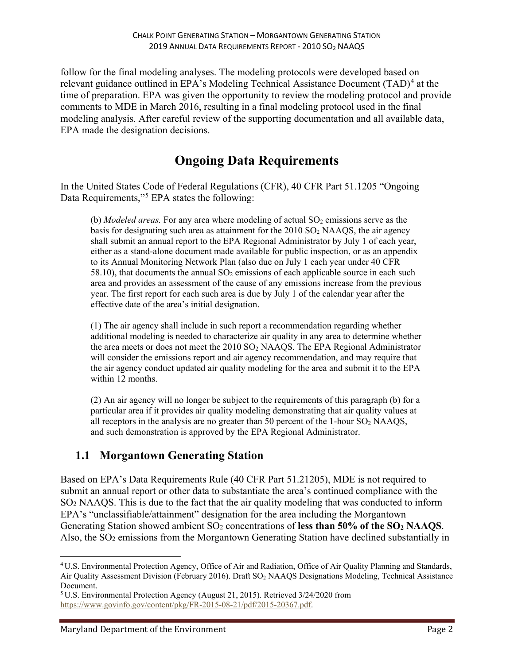follow for the final modeling analyses. The modeling protocols were developed based on relevant guidance outlined in EPA's Modeling Technical Assistance Document (TAD)<sup>[4](#page-4-2)</sup> at the time of preparation. EPA was given the opportunity to review the modeling protocol and provide comments to MDE in March 2016, resulting in a final modeling protocol used in the final modeling analysis. After careful review of the supporting documentation and all available data, EPA made the designation decisions.

## **Ongoing Data Requirements**

<span id="page-4-0"></span>In the United States Code of Federal Regulations (CFR), 40 CFR Part 51.1205 "Ongoing Data Requirements,"<sup>[5](#page-4-3)</sup> EPA states the following:

(b) *Modeled areas*. For any area where modeling of actual  $SO<sub>2</sub>$  emissions serve as the basis for designating such area as attainment for the  $2010$  SO<sub>2</sub> NAAQS, the air agency shall submit an annual report to the EPA Regional Administrator by July 1 of each year, either as a stand-alone document made available for public inspection, or as an appendix to its Annual Monitoring Network Plan (also due on July 1 each year under 40 CFR 58.10), that documents the annual  $SO_2$  emissions of each applicable source in each such area and provides an assessment of the cause of any emissions increase from the previous year. The first report for each such area is due by July 1 of the calendar year after the effective date of the area's initial designation.

(1) The air agency shall include in such report a recommendation regarding whether additional modeling is needed to characterize air quality in any area to determine whether the area meets or does not meet the 2010  $SO<sub>2</sub>$  NAAOS. The EPA Regional Administrator will consider the emissions report and air agency recommendation, and may require that the air agency conduct updated air quality modeling for the area and submit it to the EPA within 12 months.

(2) An air agency will no longer be subject to the requirements of this paragraph (b) for a particular area if it provides air quality modeling demonstrating that air quality values at all receptors in the analysis are no greater than 50 percent of the 1-hour  $SO<sub>2</sub>$  NAAQS, and such demonstration is approved by the EPA Regional Administrator.

#### <span id="page-4-1"></span>**1.1 Morgantown Generating Station**

Based on EPA's Data Requirements Rule (40 CFR Part 51.21205), MDE is not required to submit an annual report or other data to substantiate the area's continued compliance with the SO2 NAAQS. This is due to the fact that the air quality modeling that was conducted to inform EPA's "unclassifiable/attainment" designation for the area including the Morgantown Generating Station showed ambient SO2 concentrations of **less than 50% of the SO2 NAAQS**. Also, the SO<sub>2</sub> emissions from the Morgantown Generating Station have declined substantially in

<span id="page-4-2"></span> <sup>4</sup> U.S. Environmental Protection Agency, Office of Air and Radiation, Office of Air Quality Planning and Standards, Air Quality Assessment Division (February 2016). Draft SO<sub>2</sub> NAAQS Designations Modeling, Technical Assistance Document.

<span id="page-4-3"></span><sup>5</sup> U.S. Environmental Protection Agency (August 21, 2015). Retrieved 3/24/2020 from [https://www.govinfo.gov/content/pkg/FR-2015-08-21/pdf/2015-20367.pdf.](https://www.govinfo.gov/content/pkg/FR-2015-08-21/pdf/2015-20367.pdf)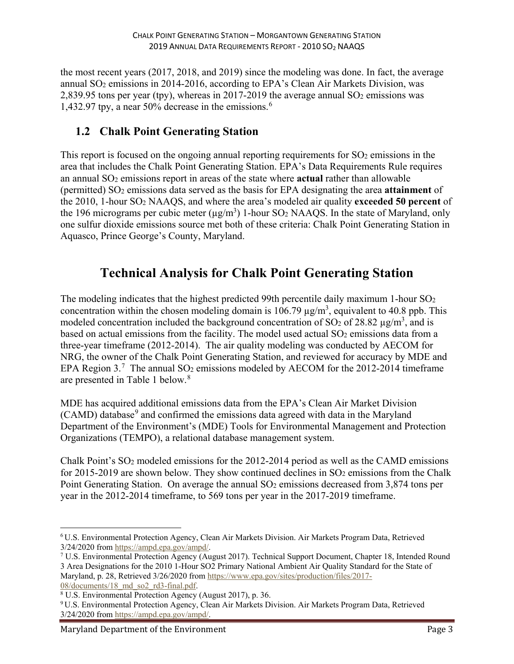the most recent years (2017, 2018, and 2019) since the modeling was done. In fact, the average annual SO2 emissions in 2014-2016, according to EPA's Clean Air Markets Division, was 2,839.95 tons per year (tpy), whereas in 2017-2019 the average annual  $SO<sub>2</sub>$  emissions was 1,432.97 tpy, a near 50% decrease in the emissions.[6](#page-5-2)

### <span id="page-5-0"></span>**1.2 Chalk Point Generating Station**

This report is focused on the ongoing annual reporting requirements for  $SO<sub>2</sub>$  emissions in the area that includes the Chalk Point Generating Station. EPA's Data Requirements Rule requires an annual SO2 emissions report in areas of the state where **actual** rather than allowable (permitted) SO2 emissions data served as the basis for EPA designating the area **attainment** of the 2010, 1-hour SO2 NAAQS, and where the area's modeled air quality **exceeded 50 percent** of the 196 micrograms per cubic meter  $(\mu g/m^3)$  1-hour SO<sub>2</sub> NAAQS. In the state of Maryland, only one sulfur dioxide emissions source met both of these criteria: Chalk Point Generating Station in Aquasco, Prince George's County, Maryland.

## **Technical Analysis for Chalk Point Generating Station**

<span id="page-5-1"></span>The modeling indicates that the highest predicted 99th percentile daily maximum 1-hour SO<sub>2</sub> concentration within the chosen modeling domain is 106.79  $\mu$ g/m<sup>3</sup>, equivalent to 40.8 ppb. This modeled concentration included the background concentration of SO<sub>2</sub> of 28.82  $\mu$ g/m<sup>3</sup>, and is based on actual emissions from the facility. The model used actual  $SO<sub>2</sub>$  emissions data from a three-year timeframe (2012-2014). The air quality modeling was conducted by AECOM for NRG, the owner of the Chalk Point Generating Station, and reviewed for accuracy by MDE and EPA Region 3.<sup>[7](#page-5-3)</sup> The annual SO<sub>2</sub> emissions modeled by AECOM for the 2012-2014 timeframe are presented in Table 1 below.<sup>[8](#page-5-4)</sup>

MDE has acquired additional emissions data from the EPA's Clean Air Market Division (CAMD) database<sup>[9](#page-5-5)</sup> and confirmed the emissions data agreed with data in the Maryland Department of the Environment's (MDE) Tools for Environmental Management and Protection Organizations (TEMPO), a relational database management system.

Chalk Point's SO2 modeled emissions for the 2012-2014 period as well as the CAMD emissions for 2015-2019 are shown below. They show continued declines in  $SO<sub>2</sub>$  emissions from the Chalk Point Generating Station. On average the annual  $SO_2$  emissions decreased from 3,874 tons per year in the 2012-2014 timeframe, to 569 tons per year in the 2017-2019 timeframe.

<span id="page-5-2"></span> <sup>6</sup> U.S. Environmental Protection Agency, Clean Air Markets Division. Air Markets Program Data, Retrieved 3/24/2020 from [https://ampd.epa.gov/ampd/.](https://ampd.epa.gov/ampd/)

<span id="page-5-3"></span><sup>7</sup> U.S. Environmental Protection Agency (August 2017). Technical Support Document, Chapter 18, Intended Round 3 Area Designations for the 2010 1-Hour SO2 Primary National Ambient Air Quality Standard for the State of Maryland, p. 28, Retrieved 3/26/2020 from [https://www.epa.gov/sites/production/files/2017-](https://www.epa.gov/sites/production/files/2017-08/documents/18_md_so2_rd3-final.pdf)

<span id="page-5-4"></span>[<sup>08/</sup>documents/18\\_md\\_so2\\_rd3-final.pdf.](https://www.epa.gov/sites/production/files/2017-08/documents/18_md_so2_rd3-final.pdf) 8 U.S. Environmental Protection Agency (August 2017), p. 36.

<span id="page-5-5"></span><sup>9</sup> U.S. Environmental Protection Agency, Clean Air Markets Division. Air Markets Program Data, Retrieved 3/24/2020 from [https://ampd.epa.gov/ampd/.](https://ampd.epa.gov/ampd/)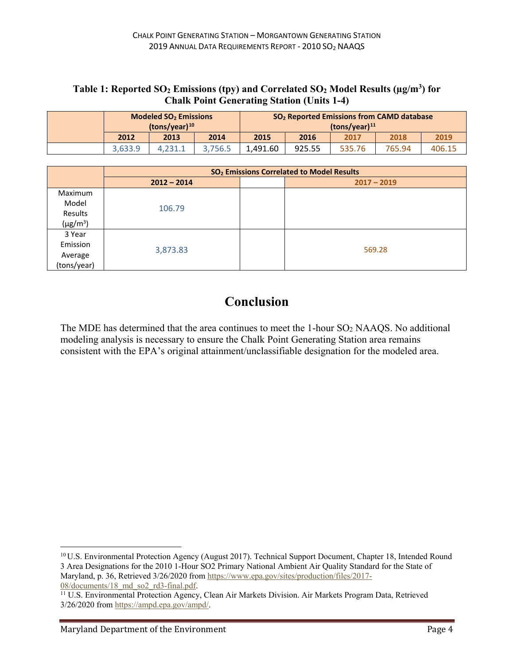|  | <b>Modeled SO<sub>2</sub></b> Emissions<br>$(tons/year)^{10}$ |         |         | SO <sub>2</sub> Reported Emissions from CAMD database<br>$(tons/year)^{11}$ |        |        |        |        |
|--|---------------------------------------------------------------|---------|---------|-----------------------------------------------------------------------------|--------|--------|--------|--------|
|  | 2012                                                          | 2013    | 2014    | 2015                                                                        | 2016   | 2017   | 2018   | 2019   |
|  | 3.633.9                                                       | 4.231.1 | 3.756.5 | 1.491.60                                                                    | 925.55 | 535.76 | 765.94 | 406.15 |

#### **Table 1: Reported SO2 Emissions (tpy) and Correlated SO2 Model Results (µg/m3 ) for Chalk Point Generating Station (Units 1-4)**

|               | SO <sub>2</sub> Emissions Correlated to Model Results |               |  |  |  |  |
|---------------|-------------------------------------------------------|---------------|--|--|--|--|
|               | $2012 - 2014$                                         | $2017 - 2019$ |  |  |  |  |
| Maximum       |                                                       |               |  |  |  |  |
| Model         | 106.79                                                |               |  |  |  |  |
| Results       |                                                       |               |  |  |  |  |
| $(\mu g/m^3)$ |                                                       |               |  |  |  |  |
| 3 Year        | 3,873.83                                              |               |  |  |  |  |
| Emission      |                                                       |               |  |  |  |  |
| Average       |                                                       | 569.28        |  |  |  |  |
| (tons/year)   |                                                       |               |  |  |  |  |

## **Conclusion**

<span id="page-6-0"></span>The MDE has determined that the area continues to meet the 1-hour SO<sub>2</sub> NAAQS. No additional modeling analysis is necessary to ensure the Chalk Point Generating Station area remains consistent with the EPA's original attainment/unclassifiable designation for the modeled area.

<span id="page-6-1"></span><sup>&</sup>lt;sup>10</sup> U.S. Environmental Protection Agency (August 2017). Technical Support Document, Chapter 18, Intended Round 3 Area Designations for the 2010 1-Hour SO2 Primary National Ambient Air Quality Standard for the State of Maryland, p. 36, Retrieved 3/26/2020 from [https://www.epa.gov/sites/production/files/2017-](https://www.epa.gov/sites/production/files/2017-08/documents/18_md_so2_rd3-final.pdf) 08/documents/18 md so2 rd3-final.pdf.

<span id="page-6-2"></span><sup>&</sup>lt;sup>11</sup> U.S. Environmental Protection Agency, Clean Air Markets Division. Air Markets Program Data, Retrieved 3/26/2020 from [https://ampd.epa.gov/ampd/.](https://ampd.epa.gov/ampd/)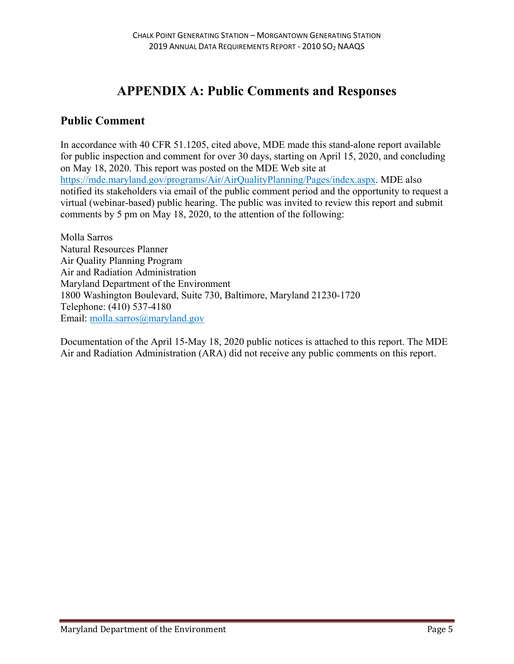## **APPENDIX A: Public Comments and Responses**

#### <span id="page-7-0"></span>**Public Comment**

In accordance with 40 CFR 51.1205, cited above, MDE made this stand-alone report available for public inspection and comment for over 30 days, starting on April 15, 2020, and concluding on May 18, 2020. This report was posted on the MDE Web site at [https://mde.maryland.gov/programs/Air/AirQualityPlanning/Pages/index.aspx.](https://mde.maryland.gov/programs/Air/AirQualityPlanning/Pages/index.aspx) MDE also notified its stakeholders via email of the public comment period and the opportunity to request a virtual (webinar-based) public hearing. The public was invited to review this report and submit comments by 5 pm on May 18, 2020, to the attention of the following:

Molla Sarros Natural Resources Planner Air Quality Planning Program Air and Radiation Administration Maryland Department of the Environment 1800 Washington Boulevard, Suite 730, Baltimore, Maryland 21230-1720 Telephone: (410) 537-4180 Email: [molla.sarros@maryland.gov](mailto:molla.sarros@maryland.gov)

Documentation of the April 15-May 18, 2020 public notices is attached to this report. The MDE Air and Radiation Administration (ARA) did not receive any public comments on this report.